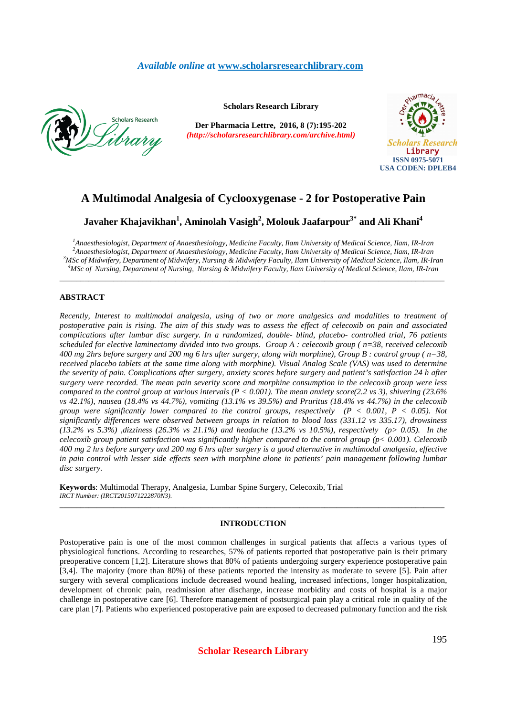# *Available online a***t www.scholarsresearchlibrary.com**



**Scholars Research Library**

**Der Pharmacia Lettre, 2016, 8 (7):195-202** *(http://scholarsresearchlibrary.com/archive.html)*



# **A Multimodal Analgesia of Cyclooxygenase - 2 for Postoperative Pain**

# **Javaher Khajavikhan<sup>1</sup> , Aminolah Vasigh<sup>2</sup> , Molouk Jaafarpour3\* and Ali Khani<sup>4</sup>**

*Anaesthesiologist, Department of Anaesthesiology, Medicine Faculty, Ilam University of Medical Science, Ilam, IR-Iran Anaesthesiologist, Department of Anaesthesiology, Medicine Faculty, Ilam University of Medical Science, Ilam, IR-Iran MSc of Midwifery, Department of Midwifery, Nursing & Midwifery Faculty, Ilam University of Medical Science, Ilam, IR-Iran MSc of Nursing, Department of Nursing, Nursing & Midwifery Faculty, Ilam University of Medical Science, Ilam, IR-Iran* 

\_\_\_\_\_\_\_\_\_\_\_\_\_\_\_\_\_\_\_\_\_\_\_\_\_\_\_\_\_\_\_\_\_\_\_\_\_\_\_\_\_\_\_\_\_\_\_\_\_\_\_\_\_\_\_\_\_\_\_\_\_\_\_\_\_\_\_\_\_\_\_\_\_\_\_\_\_\_\_\_\_\_\_\_\_\_\_\_\_\_\_\_\_

# **ABSTRACT**

*Recently, Interest to multimodal analgesia, using of two or more analgesics and modalities to treatment of postoperative pain is rising. The aim of this study was to assess the effect of celecoxib on pain and associated complications after lumbar disc surgery. In a randomized, double- blind, placebo- controlled trial, 76 patients scheduled for elective laminectomy divided into two groups. Group A : celecoxib group ( n=38, received celecoxib 400 mg 2hrs before surgery and 200 mg 6 hrs after surgery, along with morphine), Group B : control group ( n=38, received placebo tablets at the same time along with morphine). Visual Analog Scale (VAS) was used to determine the severity of pain. Complications after surgery, anxiety scores before surgery and patient's satisfaction 24 h after surgery were recorded. The mean pain severity score and morphine consumption in the celecoxib group were less compared to the control group at various intervals (P < 0.001). The mean anxiety score(2.2 vs 3), shivering (23.6% vs 42.1%), nausea (18.4% vs 44.7%), vomiting (13.1% vs 39.5%) and Pruritus (18.4% vs 44.7%) in the celecoxib group were significantly lower compared to the control groups, respectively (P < 0.001, P < 0.05). Not significantly differences were observed between groups in relation to blood loss (331.12 vs 335.17), drowsiness (13.2% vs 5.3%) ,dizziness (26.3% vs 21.1%) and headache (13.2% vs 10.5%), respectively (p> 0.05). In the celecoxib group patient satisfaction was significantly higher compared to the control group (p< 0.001). Celecoxib 400 mg 2 hrs before surgery and 200 mg 6 hrs after surgery is a good alternative in multimodal analgesia, effective in pain control with lesser side effects seen with morphine alone in patients' pain management following lumbar disc surgery.* 

**Keywords**: Multimodal Therapy, Analgesia, Lumbar Spine Surgery, Celecoxib, Trial *IRCT Number: (IRCT2015071222870N3).* 

### **INTRODUCTION**

\_\_\_\_\_\_\_\_\_\_\_\_\_\_\_\_\_\_\_\_\_\_\_\_\_\_\_\_\_\_\_\_\_\_\_\_\_\_\_\_\_\_\_\_\_\_\_\_\_\_\_\_\_\_\_\_\_\_\_\_\_\_\_\_\_\_\_\_\_\_\_\_\_\_\_\_\_\_\_\_\_\_\_\_\_\_\_\_\_\_\_\_\_

Postoperative pain is one of the most common challenges in surgical patients that affects a various types of physiological functions. According to researches, 57% of patients reported that postoperative pain is their primary preoperative concern [1,2]. Literature shows that 80% of patients undergoing surgery experience postoperative pain [3,4]. The majority (more than 80%) of these patients reported the intensity as moderate to severe [5]. Pain after surgery with several complications include decreased wound healing, increased infections, longer hospitalization, development of chronic pain, readmission after discharge, increase morbidity and costs of hospital is a major challenge in postoperative care [6]. Therefore management of postsurgical pain play a critical role in quality of the care plan [7]. Patients who experienced postoperative pain are exposed to decreased pulmonary function and the risk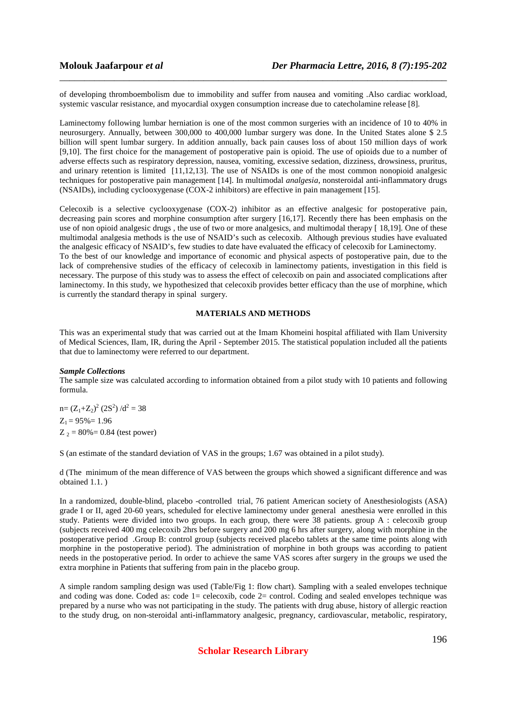of developing thromboembolism due to immobility and suffer from nausea and vomiting .Also cardiac workload, systemic vascular resistance, and myocardial oxygen consumption increase due to catecholamine release [8].

\_\_\_\_\_\_\_\_\_\_\_\_\_\_\_\_\_\_\_\_\_\_\_\_\_\_\_\_\_\_\_\_\_\_\_\_\_\_\_\_\_\_\_\_\_\_\_\_\_\_\_\_\_\_\_\_\_\_\_\_\_\_\_\_\_\_\_\_\_\_\_\_\_\_\_\_\_\_

Laminectomy following lumbar herniation is one of the most common surgeries with an incidence of 10 to 40% in neurosurgery. Annually, between 300,000 to 400,000 lumbar surgery was done. In the United States alone \$ 2.5 billion will spent lumbar surgery. In addition annually, back pain causes loss of about 150 million days of work [9,10]. The first choice for the management of postoperative pain is opioid. The use of opioids due to a number of adverse effects such as respiratory depression, nausea, vomiting, excessive sedation, dizziness, drowsiness, pruritus, and urinary retention is limited [11,12,13]. The use of NSAIDs is one of the most common nonopioid analgesic techniques for postoperative pain management [14]. In multimodal *analgesia*, nonsteroidal anti-inflammatory drugs (NSAIDs), including cyclooxygenase (COX-2 inhibitors) are effective in pain management [15].

Celecoxib is a selective cyclooxygenase (COX-2) inhibitor as an effective analgesic for postoperative pain, decreasing pain scores and morphine consumption after surgery [16,17]. Recently there has been emphasis on the use of non opioid analgesic drugs, the use of two or more analgesics, and multimodal therapy [18,19]. One of these multimodal analgesia methods is the use of NSAID's such as celecoxib. Although previous studies have evaluated the analgesic efficacy of NSAID's, few studies to date have evaluated the efficacy of celecoxib for Laminectomy. To the best of our knowledge and importance of economic and physical aspects of postoperative pain, due to the lack of comprehensive studies of the efficacy of celecoxib in laminectomy patients, investigation in this field is necessary. The purpose of this study was to assess the effect of celecoxib on pain and associated complications after laminectomy. In this study, we hypothesized that celecoxib provides better efficacy than the use of morphine, which is currently the standard therapy in spinal surgery.

## **MATERIALS AND METHODS**

This was an experimental study that was carried out at the Imam Khomeini hospital affiliated with Ilam University of Medical Sciences, Ilam, IR, during the April - September 2015. The statistical population included all the patients that due to laminectomy were referred to our department.

## *Sample Collections*

The sample size was calculated according to information obtained from a pilot study with 10 patients and following formula.

 $n = (Z_1 + Z_2)^2 (2S^2) / d^2 = 38$  $Z_1 = 95\% = 1.96$  $Z_2 = 80\% = 0.84$  (test power)

S (an estimate of the standard deviation of VAS in the groups; 1.67 was obtained in a pilot study).

d (The minimum of the mean difference of VAS between the groups which showed a significant difference and was obtained 1.1. )

In a randomized, double-blind, placebo -controlled trial, 76 patient American society of Anesthesiologists (ASA) grade I or II, aged 20-60 years, scheduled for elective laminectomy under general anesthesia were enrolled in this study. Patients were divided into two groups. In each group, there were 38 patients. group A : celecoxib group (subjects received 400 mg celecoxib 2hrs before surgery and 200 mg 6 hrs after surgery, along with morphine in the postoperative period .Group B: control group (subjects received placebo tablets at the same time points along with morphine in the postoperative period). The administration of morphine in both groups was according to patient needs in the postoperative period. In order to achieve the same VAS scores after surgery in the groups we used the extra morphine in Patients that suffering from pain in the placebo group.

A simple random sampling design was used (Table/Fig 1: flow chart). Sampling with a sealed envelopes technique and coding was done. Coded as: code 1= celecoxib, code 2= control. Coding and sealed envelopes technique was prepared by a nurse who was not participating in the study. The patients with drug abuse, history of allergic reaction to the study drug, on non-steroidal anti-inflammatory analgesic, pregnancy, cardiovascular, metabolic, respiratory,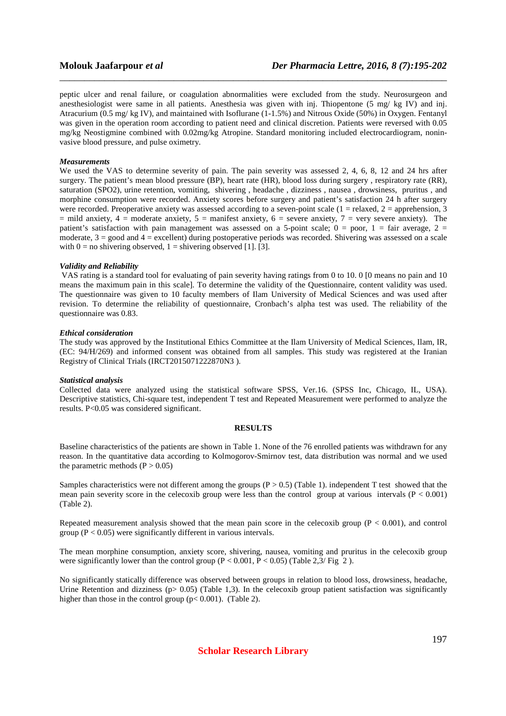peptic ulcer and renal failure, or coagulation abnormalities were excluded from the study. Neurosurgeon and anesthesiologist were same in all patients. Anesthesia was given with inj. Thiopentone (5 mg/ kg IV) and inj. Atracurium (0.5 mg/ kg IV), and maintained with Isoflurane (1-1.5%) and Nitrous Oxide (50%) in Oxygen. Fentanyl was given in the operation room according to patient need and clinical discretion. Patients were reversed with 0.05 mg/kg Neostigmine combined with 0.02mg/kg Atropine. Standard monitoring included electrocardiogram, noninvasive blood pressure, and pulse oximetry.

\_\_\_\_\_\_\_\_\_\_\_\_\_\_\_\_\_\_\_\_\_\_\_\_\_\_\_\_\_\_\_\_\_\_\_\_\_\_\_\_\_\_\_\_\_\_\_\_\_\_\_\_\_\_\_\_\_\_\_\_\_\_\_\_\_\_\_\_\_\_\_\_\_\_\_\_\_\_

#### *Measurements*

We used the VAS to determine severity of pain. The pain severity was assessed 2, 4, 6, 8, 12 and 24 hrs after surgery. The patient's mean blood pressure (BP), heart rate (HR), blood loss during surgery , respiratory rate (RR), saturation (SPO2), urine retention, vomiting, shivering , headache , dizziness , nausea , drowsiness, pruritus , and morphine consumption were recorded. Anxiety scores before surgery and patient's satisfaction 24 h after surgery were recorded. Preoperative anxiety was assessed according to a seven-point scale (1 = relaxed, 2 = apprehension, 3  $=$  mild anxiety,  $4 =$  moderate anxiety,  $5 =$  manifest anxiety,  $6 =$  severe anxiety,  $7 =$  very severe anxiety). The patient's satisfaction with pain management was assessed on a 5-point scale;  $0 =$  poor,  $1 =$  fair average,  $2 =$ moderate,  $3 =$  good and  $4 =$  excellent) during postoperative periods was recorded. Shivering was assessed on a scale with  $0 =$  no shivering observed,  $1 =$  shivering observed [1]. [3].

#### *Validity and Reliability*

 VAS rating is a standard tool for evaluating of pain severity having ratings from 0 to 10. 0 [0 means no pain and 10 means the maximum pain in this scale]. To determine the validity of the Questionnaire, content validity was used. The questionnaire was given to 10 faculty members of Ilam University of Medical Sciences and was used after revision. To determine the reliability of questionnaire, Cronbach's alpha test was used. The reliability of the questionnaire was 0.83.

#### *Ethical consideration*

The study was approved by the Institutional Ethics Committee at the Ilam University of Medical Sciences, Ilam, IR, (EC: 94/H/269) and informed consent was obtained from all samples. This study was registered at the Iranian Registry of Clinical Trials (IRCT2015071222870N3 ).

#### *Statistical analysis*

Collected data were analyzed using the statistical software SPSS, Ver.16. (SPSS Inc, Chicago, IL, USA). Descriptive statistics, Chi-square test, independent T test and Repeated Measurement were performed to analyze the results. P<0.05 was considered significant.

#### **RESULTS**

Baseline characteristics of the patients are shown in Table 1. None of the 76 enrolled patients was withdrawn for any reason. In the quantitative data according to Kolmogorov-Smirnov test, data distribution was normal and we used the parametric methods  $(P > 0.05)$ 

Samples characteristics were not different among the groups  $(P > 0.5)$  (Table 1). independent T test showed that the mean pain severity score in the celecoxib group were less than the control group at various intervals  $(P < 0.001)$ (Table 2).

Repeated measurement analysis showed that the mean pain score in the celecoxib group  $(P < 0.001)$ , and control group ( $P < 0.05$ ) were significantly different in various intervals.

The mean morphine consumption, anxiety score, shivering, nausea, vomiting and pruritus in the celecoxib group were significantly lower than the control group  $(P < 0.001, P < 0.05)$  (Table 2,3/ Fig 2).

No significantly statically difference was observed between groups in relation to blood loss, drowsiness, headache, Urine Retention and dizziness ( $p > 0.05$ ) (Table 1,3). In the celecoxib group patient satisfaction was significantly higher than those in the control group ( $p < 0.001$ ). (Table 2).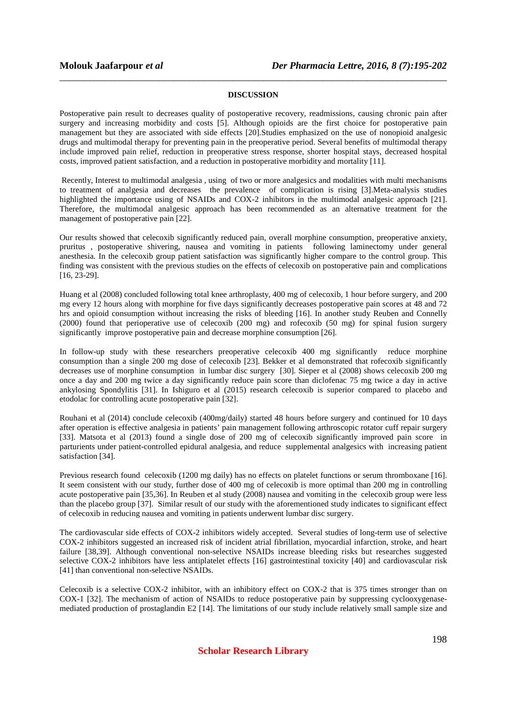# **DISCUSSION**

\_\_\_\_\_\_\_\_\_\_\_\_\_\_\_\_\_\_\_\_\_\_\_\_\_\_\_\_\_\_\_\_\_\_\_\_\_\_\_\_\_\_\_\_\_\_\_\_\_\_\_\_\_\_\_\_\_\_\_\_\_\_\_\_\_\_\_\_\_\_\_\_\_\_\_\_\_\_

Postoperative pain result to decreases quality of postoperative recovery, readmissions, causing chronic pain after surgery and increasing morbidity and costs [5]. Although opioids are the first choice for postoperative pain management but they are associated with side effects [20].Studies emphasized on the use of nonopioid analgesic drugs and multimodal therapy for preventing pain in the preoperative period. Several benefits of multimodal therapy include improved pain relief, reduction in preoperative stress response, shorter hospital stays, decreased hospital costs, improved patient satisfaction, and a reduction in postoperative morbidity and mortality [11].

 Recently, Interest to multimodal analgesia , using of two or more analgesics and modalities with multi mechanisms to treatment of analgesia and decreases the prevalence of complication is rising [3].Meta-analysis studies highlighted the importance using of NSAIDs and COX-2 inhibitors in the multimodal analgesic approach [21]. Therefore, the multimodal analgesic approach has been recommended as an alternative treatment for the management of postoperative pain [22].

Our results showed that celecoxib significantly reduced pain, overall morphine consumption, preoperative anxiety, pruritus , postoperative shivering, nausea and vomiting in patients following laminectomy under general anesthesia. In the celecoxib group patient satisfaction was significantly higher compare to the control group. This finding was consistent with the previous studies on the effects of celecoxib on postoperative pain and complications [16, 23-29].

Huang et al (2008) concluded following total knee arthroplasty, 400 mg of celecoxib, 1 hour before surgery, and 200 mg every 12 hours along with morphine for five days significantly decreases postoperative pain scores at 48 and 72 hrs and opioid consumption without increasing the risks of bleeding [16]. In another study Reuben and Connelly (2000) found that perioperative use of celecoxib (200 mg) and rofecoxib (50 mg) for spinal fusion surgery significantly improve postoperative pain and decrease morphine consumption [26].

In follow-up study with these researchers preoperative celecoxib 400 mg significantly reduce morphine consumption than a single 200 mg dose of celecoxib [23]. Bekker et al demonstrated that rofecoxib significantly decreases use of morphine consumption in lumbar disc surgery [30]. Sieper et al (2008) shows celecoxib 200 mg once a day and 200 mg twice a day significantly reduce pain score than diclofenac 75 mg twice a day in active ankylosing Spondylitis [31]. In Ishiguro et al (2015) research celecoxib is superior compared to placebo and etodolac for controlling acute postoperative pain [32].

Rouhani et al (2014) conclude celecoxib (400mg/daily) started 48 hours before surgery and continued for 10 days after operation is effective analgesia in patients' pain management following arthroscopic rotator cuff repair surgery [33]. Matsota et al (2013) found a single dose of 200 mg of celecoxib significantly improved pain score in parturients under patient-controlled epidural analgesia, and reduce supplemental analgesics with increasing patient satisfaction [34].

Previous research found celecoxib (1200 mg daily) has no effects on platelet functions or serum thromboxane [16]. It seem consistent with our study, further dose of 400 mg of celecoxib is more optimal than 200 mg in controlling acute postoperative pain [35,36]. In Reuben et al study (2008) nausea and vomiting in the celecoxib group were less than the placebo group [37]. Similar result of our study with the aforementioned study indicates to significant effect of celecoxib in reducing nausea and vomiting in patients underwent lumbar disc surgery.

The cardiovascular side effects of COX-2 inhibitors widely accepted. Several studies of long-term use of selective COX-2 inhibitors suggested an increased risk of incident atrial fibrillation, myocardial infarction, stroke, and heart failure [38,39]. Although conventional non-selective NSAIDs increase bleeding risks but researches suggested selective COX-2 inhibitors have less antiplatelet effects [16] gastrointestinal toxicity [40] and cardiovascular risk [41] than conventional non-selective NSAIDs.

Celecoxib is a selective COX-2 inhibitor, with an inhibitory effect on COX-2 that is 375 times stronger than on COX-1 [32]. The mechanism of action of NSAIDs to reduce postoperative pain by suppressing cyclooxygenasemediated production of prostaglandin E2 [14]. The limitations of our study include relatively small sample size and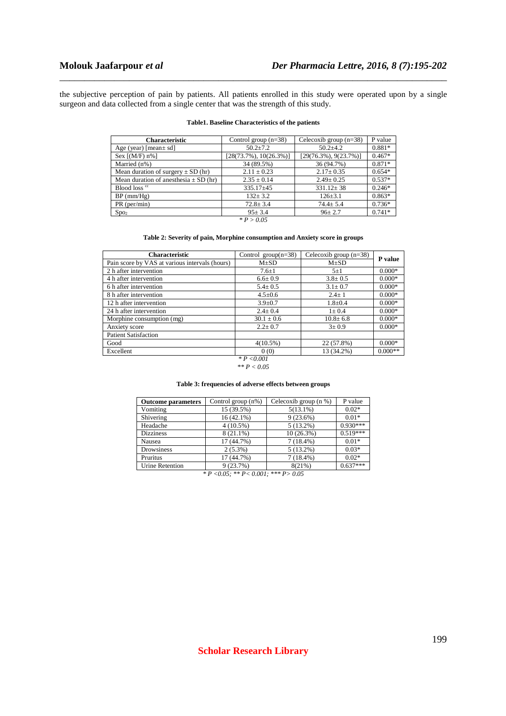the subjective perception of pain by patients. All patients enrolled in this study were operated upon by a single surgeon and data collected from a single center that was the strength of this study.

\_\_\_\_\_\_\_\_\_\_\_\_\_\_\_\_\_\_\_\_\_\_\_\_\_\_\_\_\_\_\_\_\_\_\_\_\_\_\_\_\_\_\_\_\_\_\_\_\_\_\_\_\_\_\_\_\_\_\_\_\_\_\_\_\_\_\_\_\_\_\_\_\_\_\_\_\_\_

#### **Table1. Baseline Characteristics of the patients**

| <b>Characteristic</b>                     | Control group $(n=38)$     | Celecoxib group $(n=38)$  | P value  |
|-------------------------------------------|----------------------------|---------------------------|----------|
| Age (year) [mean $\pm$ sd]                | $50.2 \pm 7.2$             | $50.2 + 4.2$              | $0.881*$ |
| Sex $[(M/F) n\%]$                         | $[28(73.7\%), 10(26.3\%)]$ | $[29(76.3\%), 9(23.7\%)]$ | $0.467*$ |
| Married (n%)                              | 34 (89.5%)                 | 36 (94.7%)                | $0.871*$ |
| Mean duration of surgery $\pm$ SD (hr)    | $2.11 \pm 0.23$            | $2.17 \pm 0.35$           | $0.654*$ |
| Mean duration of anesthesia $\pm$ SD (hr) | $2.35 \pm 0.14$            | $2.49 \pm 0.25$           | $0.537*$ |
| Blood loss <sup>cc</sup>                  | $335.17+45$                | $331.12 \pm 38$           | $0.246*$ |
| $BP$ (mm/ $Hg$ )                          | $132 + 3.2$                | $126 \pm 3.1$             | $0.863*$ |
| $PR$ (per/min)                            | $72.8 \pm 3.4$             | $74.4 \pm 5.4$            | $0.736*$ |
| Spo <sub>2</sub>                          | $95 + 3.4$                 | $96 \pm 2.7$              | $0.741*$ |
|                                           | $* P > 0.05$               |                           |          |

# **Table 2: Severity of pain, Morphine consumption and Anxiety score in groups**

| <b>Characteristic</b>                          | Control group $(n=38)$ | Celecoxib group $(n=38)$ | P value   |  |
|------------------------------------------------|------------------------|--------------------------|-----------|--|
| Pain score by VAS at various intervals (hours) | $M\pm SD$              | $M\pm SD$                |           |  |
| 2 h after intervention                         | $7.6 \pm 1$            | $5\pm1$                  | $0.000*$  |  |
| 4 h after intervention                         | $6.6 \pm 0.9$          | $3.8 \pm 0.5$            | $0.000*$  |  |
| 6 h after intervention                         | $5.4 \pm 0.5$          | $3.1 \pm 0.7$            | $0.000*$  |  |
| 8 h after intervention                         | $4.5 \pm 0.6$          | $2.4+1$                  | $0.000*$  |  |
| 12 h after intervention                        | $3.9 \pm 0.7$          | $1.8 + 0.4$              | $0.000*$  |  |
| 24 h after intervention                        | $2.4 \pm 0.4$          | $1 \pm 0.4$              | $0.000*$  |  |
| Morphine consumption (mg)                      | $30.1 \pm 0.6$         | $10.8 \pm 6.8$           | $0.000*$  |  |
| Anxiety score                                  | $2.2 \pm 0.7$          | $3 \pm 0.9$              | $0.000*$  |  |
| <b>Patient Satisfaction</b>                    |                        |                          |           |  |
| Good                                           | 4(10.5%)               | 22 (57.8%)               | $0.000*$  |  |
| Excellent                                      | 0(0)                   | 13 (34.2%)               | $0.000**$ |  |
|                                                | $*P < 0.001$           |                          |           |  |

# *\*\* P < 0.05*

#### **Table 3: frequencies of adverse effects between groups**

| Control group $(n\%)$ | Celecoxib group $(n \%)$ | P value    |
|-----------------------|--------------------------|------------|
| 15 (39.5%)            | $5(13.1\%)$              | $0.02*$    |
| $16(42.1\%)$          | 9(23.6%)                 | $0.01*$    |
| $4(10.5\%)$           | $5(13.2\%)$              | $0.930***$ |
| $8(21.1\%)$           | 10(26.3%)                | $0.519***$ |
| 17 (44.7%)            | $7(18.4\%)$              | $0.01*$    |
| $2(5.3\%)$            | $5(13.2\%)$              | $0.03*$    |
| 17 (44.7%)            | $7(18.4\%)$              | $0.02*$    |
| 9(23.7%)              | 8(21%)                   | $0.637***$ |
|                       |                          |            |

*\* P <0.05; \*\* P< 0.001; \*\*\* P> 0.05*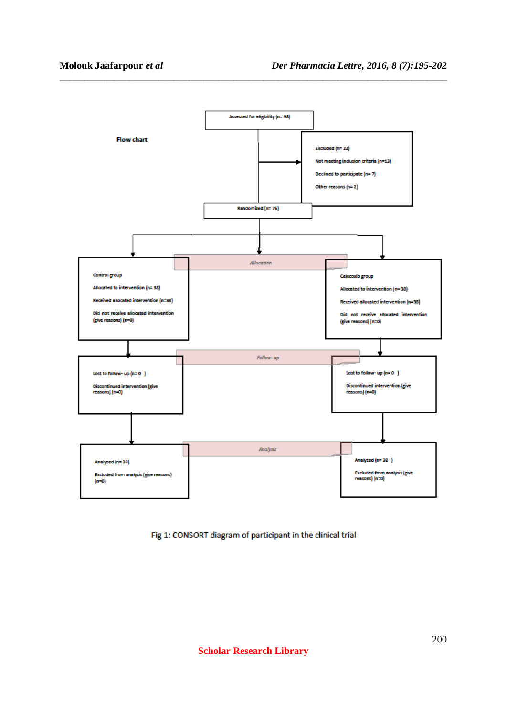

\_\_\_\_\_\_\_\_\_\_\_\_\_\_\_\_\_\_\_\_\_\_\_\_\_\_\_\_\_\_\_\_\_\_\_\_\_\_\_\_\_\_\_\_\_\_\_\_\_\_\_\_\_\_\_\_\_\_\_\_\_\_\_\_\_\_\_\_\_\_\_\_\_\_\_\_\_\_

Fig 1: CONSORT diagram of participant in the clinical trial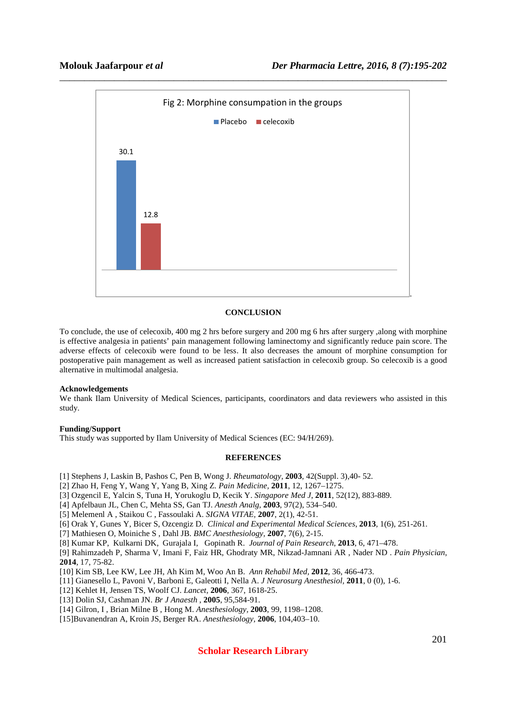

# **CONCLUSION**

To conclude, the use of celecoxib, 400 mg 2 hrs before surgery and 200 mg 6 hrs after surgery ,along with morphine is effective analgesia in patients' pain management following laminectomy and significantly reduce pain score. The adverse effects of celecoxib were found to be less. It also decreases the amount of morphine consumption for postoperative pain management as well as increased patient satisfaction in celecoxib group. So celecoxib is a good alternative in multimodal analgesia.

#### **Acknowledgements**

We thank Ilam University of Medical Sciences, participants, coordinators and data reviewers who assisted in this study.

#### **Funding/Support**

This study was supported by Ilam University of Medical Sciences (EC: 94/H/269).

# **REFERENCES**

[1] Stephens J, Laskin B, Pashos C, Pen B, Wong J. *Rheumatology,* **2003**, 42(Suppl. 3),40- 52.

[2] Zhao H, Feng Y, Wang Y, Yang B, Xing Z. *Pain Medicine,* **2011**, 12, 1267–1275.

- [3] Ozgencil E, Yalcin S, Tuna H, Yorukoglu D, Kecik Y. *Singapore Med J*, **2011**, 52(12), 883-889.
- [4] Apfelbaun JL, Chen C, Mehta SS, Gan TJ. *Anesth Analg*, **2003**, 97(2), 534–540.

[5] Melemenl A , Staikou C , Fassoulaki A. *SIGNA VITAE,* **2007**, 2(1), 42-51.

[6] Orak Y, Gunes Y, Bicer S, Ozcengiz D. *Clinical and Experimental Medical Sciences*, **2013**, 1(6), 251-261.

[7] Mathiesen O, Moiniche S , Dahl JB. *BMC Anesthesiology,* **2007**, 7(6), 2-15.

[8] Kumar KP, Kulkarni DK, Gurajala I, Gopinath R. *Journal of Pain Research*, **2013**, 6, 471–478.

[9] Rahimzadeh P, Sharma V, Imani F, Faiz HR, Ghodraty MR, Nikzad-Jamnani AR , Nader ND . *Pain Physician*, **2014**, 17, 75-82.

[10] Kim SB, Lee KW, Lee JH, Ah Kim M, Woo An B. *Ann Rehabil Med,* **2012**, 36, 466-473.

[11] Gianesello L, Pavoni V, Barboni E, Galeotti I, Nella A. *J Neurosurg Anesthesiol,* **2011**, 0 (0), 1-6.

[12] Kehlet H, Jensen TS, Woolf CJ. *Lancet,* **2006**, 367, 1618-25.

[13] Dolin SJ, Cashman JN. *Br J Anaesth* , **2005**, 95,584-91.

[14] Gilron, I , Brian Milne B , Hong M. *Anesthesiology,* **2003**, 99, 1198–1208.

[15]Buvanendran A, Kroin JS, Berger RA. *Anesthesiology,* **2006**, 104,403–10.